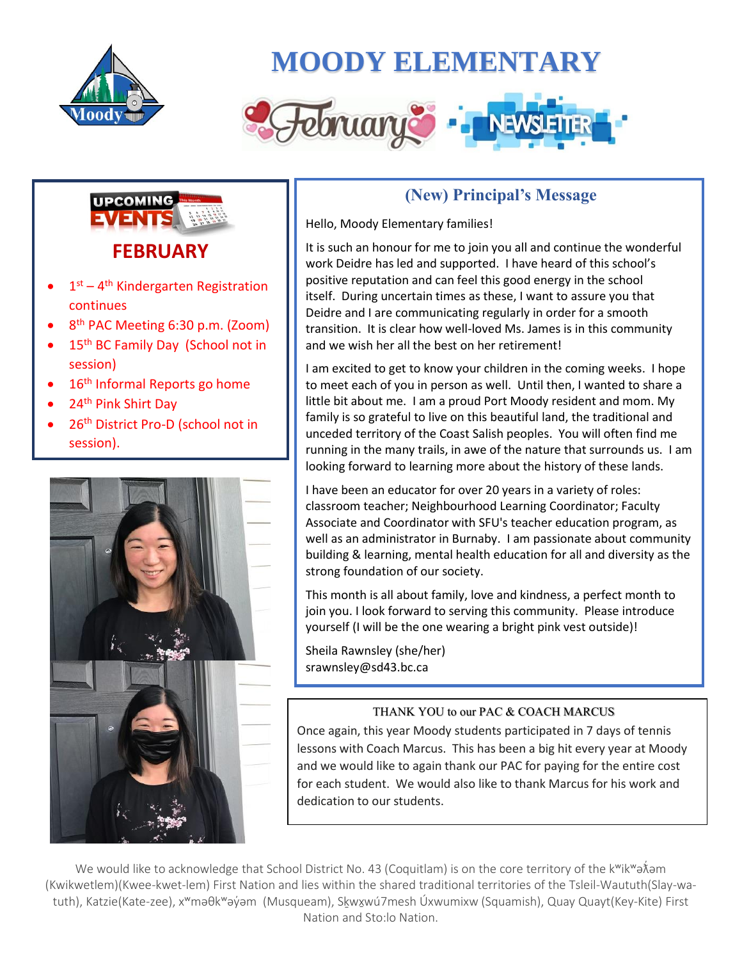

## **MOODY ELEMENTARY**





- $\bullet$  1<sup>st</sup> 4<sup>th</sup> Kindergarten Registration continues
- 8<sup>th</sup> PAC Meeting 6:30 p.m. (Zoom)
- 15<sup>th</sup> BC Family Day (School not in session)
- 16<sup>th</sup> Informal Reports go home
- 24<sup>th</sup> Pink Shirt Day
- 26<sup>th</sup> District Pro-D (school not in session).



### **(New) Principal's Message**

Hello, Moody Elementary families!

It is such an honour for me to join you all and continue the wonderful work Deidre has led and supported. I have heard of this school's positive reputation and can feel this good energy in the school itself. During uncertain times as these, I want to assure you that Deidre and I are communicating regularly in order for a smooth transition. It is clear how well-loved Ms. James is in this community and we wish her all the best on her retirement!

I am excited to get to know your children in the coming weeks. I hope to meet each of you in person as well. Until then, I wanted to share a little bit about me. I am a proud Port Moody resident and mom. My family is so grateful to live on this beautiful land, the traditional and unceded territory of the Coast Salish peoples. You will often find me running in the many trails, in awe of the nature that surrounds us. I am looking forward to learning more about the history of these lands.

I have been an educator for over 20 years in a variety of roles: classroom teacher; Neighbourhood Learning Coordinator; Faculty Associate and Coordinator with SFU's teacher education program, as well as an administrator in Burnaby. I am passionate about community building & learning, mental health education for all and diversity as the strong foundation of our society.

This month is all about family, love and kindness, a perfect month to join you. I look forward to serving this community. Please introduce yourself (I will be the one wearing a bright pink vest outside)!

Sheila Rawnsley (she/her) srawnsley@sd43.bc.ca

### THANK YOU to our PAC & COACH MARCUS

Once again, this year Moody students participated in 7 days of tennis lessons with Coach Marcus. This has been a big hit every year at Moody and we would like to again thank our PAC for paying for the entire cost for each student. We would also like to thank Marcus for his work and dedication to our students.

We would like to acknowledge that School District No. 43 (Coquitlam) is on the core territory of the kʷikʷəእ໋əm (Kwikwetlem)(Kwee-kwet-lem) First Nation and lies within the shared traditional territories of the Tsleil-Waututh(Slay-watuth), Katzie(Kate-zee), x<sup>w</sup>məθk<sup>w</sup>əy´əm (Musqueam), Skwxwú7mesh Úxwumixw (Squamish), Quay Quayt(Key-Kite) First Nation and Sto:lo Nation.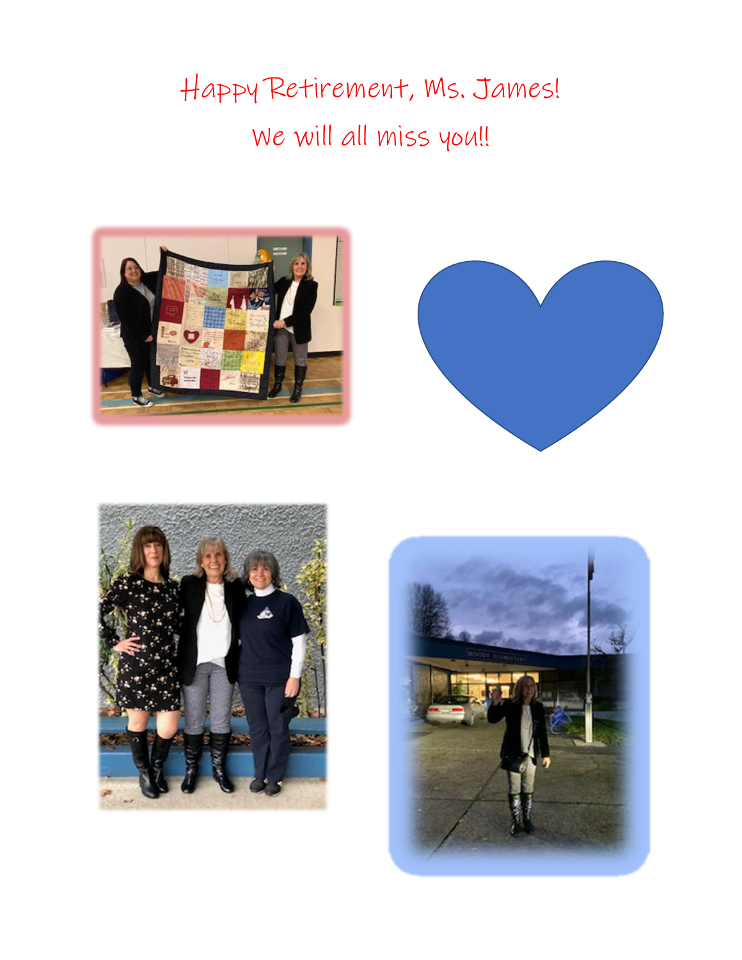# Happy Retirement, Ms. James! We will all miss you!!







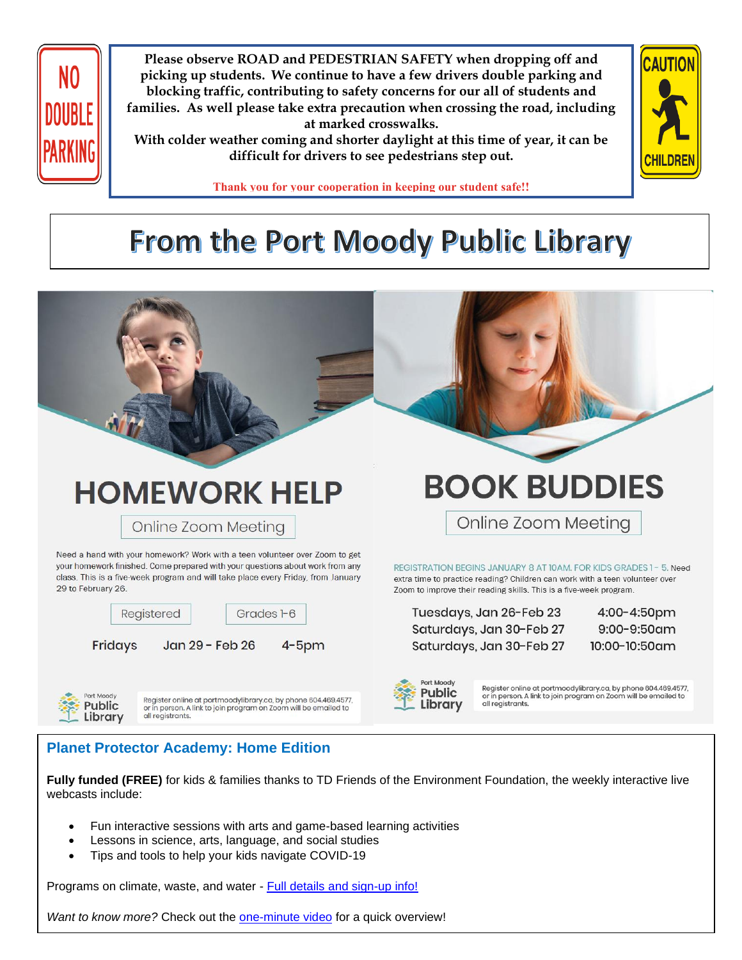

**Please observe ROAD and PEDESTRIAN SAFETY when dropping off and picking up students. We continue to have a few drivers double parking and blocking traffic, contributing to safety concerns for our all of students and families. As well please take extra precaution when crossing the road, including at marked crosswalks.**

**With colder weather coming and shorter daylight at this time of year, it can be difficult for drivers to see pedestrians step out.**



**Thank you for your cooperation in keeping our student safe!!**

## From the Port Moody Public Library



### **Planet Protector Academy: Home Edition**

**Fully funded (FREE)** for kids & families thanks to TD Friends of the Environment Foundation, the weekly interactive live webcasts include:

- Fun interactive sessions with arts and game-based learning activities
- Lessons in science, arts, language, and social studies
- Tips and tools to help your kids navigate COVID-19

Programs on climate, waste, and water - [Full details and sign-up info!](https://go.dreamriderproductions.com/t/5731/c/85979b2f-7a33-491c-8bf0-258d9d7630cb/NB2HI4DTHIXS64DMMFXGK5DQOJXXIZLDORXXEYLDMFSGK3LZFZRW63JPMZXXEL3QMFZGK3TUOMWWQZJPH5ZWE4TDHUYU2LLXJ5HE4MSZGBEFSLJRIJPTOVD2K5VDO5ZFGNCCKM2EEUZDI3KZOY2GONTHKBZTIR3WKBXFMZBZKFZDIVDXEUZUIJJTIQ======/planetprotectoracademy-com-for-parents-he)

*Want to know more?* Check out the [one-minute video](https://go.dreamriderproductions.com/t/5731/c/85979b2f-7a33-491c-8bf0-258d9d7630cb/NB2HI4DTHIXS64DMMFXGK5DQOJXXIZLDORXXEYLDMFSGK3LZFZRW63JPMZXXEL3QMFZGK3TUOMWWQZJPH5ZWE4TDHUYU2LLXJ5HE4MSZGBEFSLJRIJPTOVD2K5VDO5ZFGNCCKM2EEUZDI3KZOY2GONTHKBZTIR3WKBXFMZBZKFZDIVDXEUZUIJJTIQ======/planetprotectoracademy-com-for-parents-he) for a quick overview!